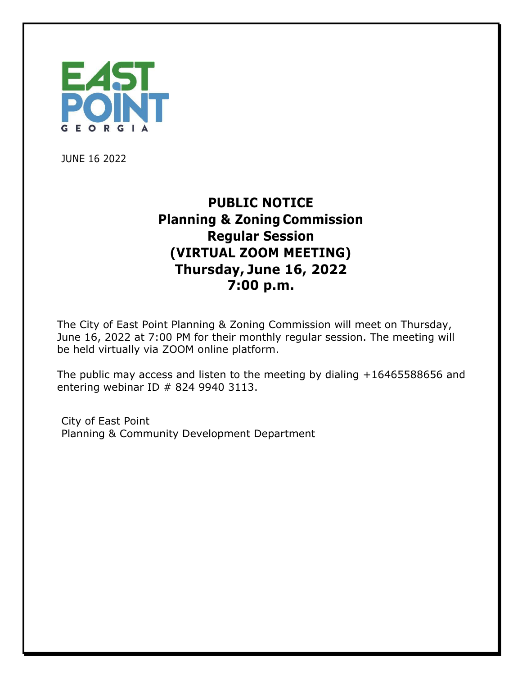

JUNE 16 2022

## **PUBLIC NOTICE Planning & Zoning Commission Regular Session (VIRTUAL ZOOM MEETING) Thursday, June 16, 2022 7:00 p.m.**

The City of East Point Planning & Zoning Commission will meet on Thursday, June 16, 2022 at 7:00 PM for their monthly regular session. The meeting will be held virtually via ZOOM online platform.

The public may access and listen to the meeting by dialing +16465588656 and entering webinar ID # 824 9940 3113.

City of East Point Planning & Community Development Department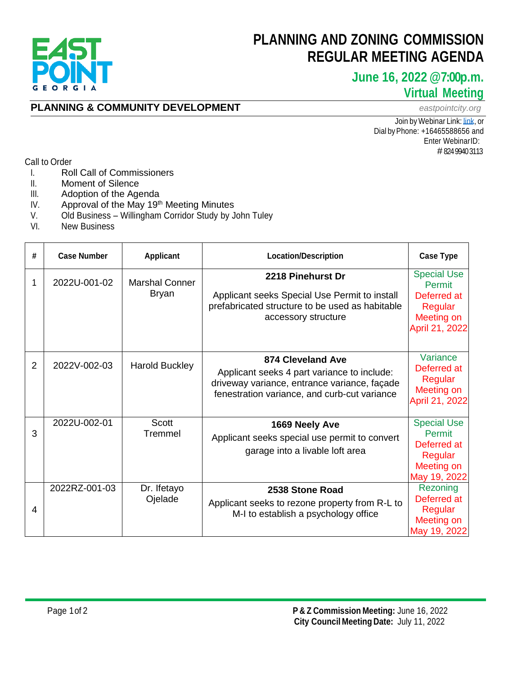

## **PLANNING AND ZONING COMMISSION REGULAR MEETING AGENDA**

### **June 16, 2022 @7:00p.m. Virtual Meeting**

#### **PLANNING & COMMUNITY DEVELOPMENT** *eastpointcity.org*

Join by Webinar Link: [link,](https://us02web.zoom.us/j/82499403113) or Dial byPhone: +16465588656 and Enter WebinarID: # 824 9940 3113

Call to Order

- I. Roll Call of Commissioners
- II. Moment of Silence<br>III. Adoption of the Age
- Adoption of the Agenda
- IV. Approval of the May 19<sup>th</sup> Meeting Minutes
- V. Old Business Willingham Corridor Study by John Tuley<br>VI. New Business
- **New Business**

| # | <b>Case Number</b> | <b>Applicant</b>                      | <b>Location/Description</b>                                                                                                                                      | <b>Case Type</b>                                                                              |
|---|--------------------|---------------------------------------|------------------------------------------------------------------------------------------------------------------------------------------------------------------|-----------------------------------------------------------------------------------------------|
| 1 | 2022U-001-02       | <b>Marshal Conner</b><br><b>Bryan</b> | 2218 Pinehurst Dr<br>Applicant seeks Special Use Permit to install<br>prefabricated structure to be used as habitable<br>accessory structure                     | <b>Special Use</b><br><b>Permit</b><br>Deferred at<br>Regular<br>Meeting on<br>April 21, 2022 |
| 2 | 2022V-002-03       | <b>Harold Buckley</b>                 | 874 Cleveland Ave<br>Applicant seeks 4 part variance to include:<br>driveway variance, entrance variance, façade<br>fenestration variance, and curb-cut variance | Variance<br>Deferred at<br>Regular<br>Meeting on<br>April 21, 2022                            |
| 3 | 2022U-002-01       | <b>Scott</b><br>Tremmel               | 1669 Neely Ave<br>Applicant seeks special use permit to convert<br>garage into a livable loft area                                                               | <b>Special Use</b><br>Permit<br>Deferred at<br>Regular<br>Meeting on<br>May 19, 2022          |
| 4 | 2022RZ-001-03      | Dr. Ifetayo<br>Ojelade                | 2538 Stone Road<br>Applicant seeks to rezone property from R-L to<br>M-I to establish a psychology office                                                        | Rezoning<br>Deferred at<br>Regular<br>Meeting on<br>May 19, 2022                              |